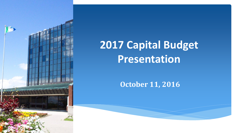

# **2017 Capital Budget Presentation**

#### **October 11, 2016**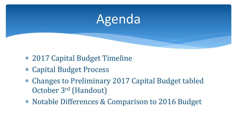

- 2017 Capital Budget Timeline
- Capital Budget Process
- Changes to Preliminary 2017 Capital Budget tabled October 3rd (Handout)
- Notable Differences & Comparison to 2016 Budget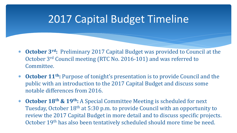# 2017 Capital Budget Timeline

- **October 3rd:** Preliminary 2017 Capital Budget was provided to Council at the October 3rd Council meeting (RTC No. 2016-101) and was referred to Committee.
- **October 11th:** Purpose of tonight's presentation is to provide Council and the public with an introduction to the 2017 Capital Budget and discuss some notable differences from 2016.
- **October 18th & 19th:** A Special Committee Meeting is scheduled for next Tuesday, October 18<sup>th</sup> at 5:30 p.m. to provide Council with an opportunity to review the 2017 Capital Budget in more detail and to discuss specific projects. October 19th has also been tentatively scheduled should more time be need.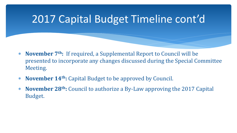# 2017 Capital Budget Timeline cont'd

- **November 7th:** If required, a Supplemental Report to Council will be presented to incorporate any changes discussed during the Special Committee Meeting.
- **November 14th:** Capital Budget to be approved by Council.
- **November 28th:** Council to authorize a By-Law approving the 2017 Capital Budget.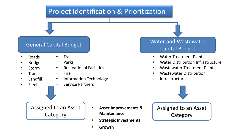### Project Identification & Prioritization

- Roads
- Bridges
- Storm
- **Transit**
- Landfill
- Fleet
- **Trails**
- Parks
- Recreational Facilities
- Fire
- Information Technology
	- Service Partners

Assigned to an Asset **Category** 

- **Asset Improvements & Maintenance**
- **Strategic Investments**
- **Growth**

General Capital Budget National Capital Budget National Wastewater Capital Budget

- Water Treatment Plant
- Water Distribution Infrastructure
- Wastewater Treatment Plant
- Wastewater Distribution Infrastructure



Assigned to an Asset **Category**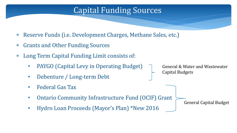### Capital Funding Sources

- Reserve Funds (i.e. Development Charges, Methane Sales, etc.)
- Grants and Other Funding Sources
- Long Term Capital Funding Limit consists of:
	- PAYGO (Capital Levy in Operating Budget)
	- Debenture / Long-term Debt
	- Federal Gas Tax
	- Ontario Community Infrastructure Fund (OCIF) Grant
	- Hydro Loan Proceeds (Mayor's Plan) \*New 2016

General & Water and Wastewater Capital Budgets

General Capital Budget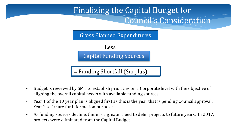

Capital Funding Sources

= Funding Shortfall (Surplus)

- Budget is reviewed by SMT to establish priorities on a Corporate level with the objective of aligning the overall capital needs with available funding sources
- Year 1 of the 10 year plan is aligned first as this is the year that is pending Council approval. Year 2 to 10 are for information purposes.
- As funding sources decline, there is a greater need to defer projects to future years. In 2017, projects were eliminated from the Capital Budget.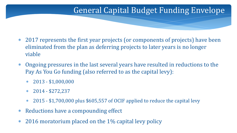### General Capital Budget Funding Envelope

- 2017 represents the first year projects (or components of projects) have been eliminated from the plan as deferring projects to later years is no longer viable
- Ongoing pressures in the last several years have resulted in reductions to the Pay As You Go funding (also referred to as the capital levy):
	- $*$  2013 \$1,000,000
	- $*$  2014 \$272,237
	- 2015 \$1,700,000 plus \$605,557 of OCIF applied to reduce the capital levy
- Reductions have a compounding effect
- 2016 moratorium placed on the 1% capital levy policy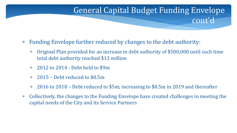### General Capital Budget Funding Envelope cont'd

- Funding Envelope further reduced by changes to the debt authority:
	- Original Plan provided for an increase in debt authority of \$500,000 until such time total debt authority reached \$13 million
	- 2012 to 2014 Debt held to \$9m
	- 2015 Debt reduced to \$8.5m
	- 2016 to 2018 Debt reduced to \$5m; increasing to \$8.5m in 2019 and thereafter
- Collectively, the changes to the Funding Envelope have created challenges in meeting the capital needs of the City and its Service Partners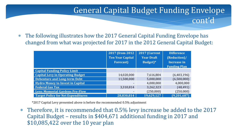#### The following illustrates how the 2017 General Capital Funding Envelope has changed from what was projected for 2017 in the 2012 General Capital Budget:

General Capital Budget Funding Envelope

cont'd

|                                           | 2017 (from 2012)<br><b>Ten Year Capital</b><br><b>Forecast</b> ) | 2017 (Current<br><b>Year Draft</b><br>Budget)* | <b>Difference</b><br>(Reduction)/<br><b>Increase in</b><br><b>Funding Plan</b> |
|-------------------------------------------|------------------------------------------------------------------|------------------------------------------------|--------------------------------------------------------------------------------|
| <b>Capital Funding Policy Limit</b>       |                                                                  |                                                |                                                                                |
| <b>Capital Levy in Operating Budget</b>   | 14,020,000                                                       | 7,616,804                                      | (6,403,196)                                                                    |
| <b>Debenture and Long-term Debt</b>       | 11,500,000                                                       | 5,000,000                                      | (6,500,000)                                                                    |
| <b>Hydro Money to Invest in Capital</b>   |                                                                  | 4,000,000                                      | 4,000,000                                                                      |
| <b>Federal Gas Tax</b>                    | 3,310,814                                                        | 3,262,323                                      | (48, 491)                                                                      |
| <b>Less: Memorial Gardens Pre-Flow</b>    | $\overline{\phantom{0}}$                                         | (250,000)                                      | (250,000)                                                                      |
| <b>Target Policy for Net Expenditures</b> | 28.830.814                                                       | 19,629,127                                     | (9,201,687)                                                                    |

\*2017 Capital Levy presented above is before the recommended 0.5% adjustment

 Therefore, it is recommended that 0.5% levy increase be added to the 2017 Capital Budget – results in \$404,671 additional funding in 2017 and \$10,085,422 over the 10 year plan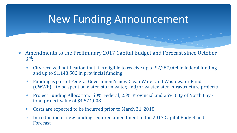# New Funding Announcement

- Amendments to the Preliminary 2017 Capital Budget and Forecast since October 3 rd:
	- City received notification that it is eligible to receive up to \$2,287,004 in federal funding and up to \$1,143,502 in provincial funding
	- Funding is part of Federal Government's new Clean Water and Wastewater Fund (CWWF) – to be spent on water, storm water, and/or wastewater infrastructure projects
	- Project Funding Allocation: 50% Federal; 25% Provincial and 25% City of North Bay total project value of \$4,574,008
	- Costs are expected to be incurred prior to March 31, 2018
	- Introduction of new funding required amendment to the 2017 Capital Budget and Forecast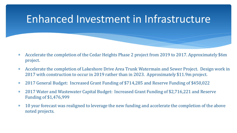# Enhanced Investment in Infrastructure

- Accelerate the completion of the Cedar Heights Phase 2 project from 2019 to 2017. Approximately \$6m project.
- Accelerate the completion of Lakeshore Drive Area Trunk Watermain and Sewer Project. Design work in 2017 with construction to occur in 2019 rather than in 2023. Approximately \$11.9m project.
- 2017 General Budget: Increased Grant Funding of \$714,285 and Reserve Funding of \$450,022
- 2017 Water and Wastewater Capital Budget: Increased Grant Funding of \$2,716,221 and Reserve Funding of \$1,476,999
- 10 year forecast was realigned to leverage the new funding and accelerate the completion of the above noted projects.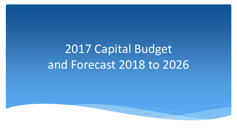# 2017 Capital Budget and Forecast 2018 to 2026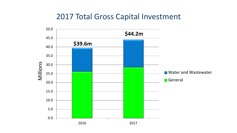### 2017 Total Gross Capital Investment

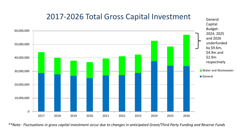

#### *\*\*Note: Fluctuations in gross capital investment occur due to changes in anticipated Grant/Third Party Funding and Reserve Funds*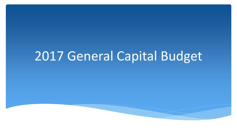# 2017 General Capital Budget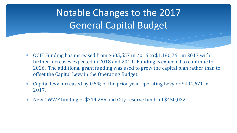Notable Changes to the 2017 General Capital Budget

- OCIF Funding has increased from \$605,557 in 2016 to \$1,180,761 in 2017 with further increases expected in 2018 and 2019. Funding is expected to continue to 2026. The additional grant funding was used to grow the capital plan rather than to offset the Capital Levy in the Operating Budget.
- Capital levy increased by 0.5% of the prior year Operating Levy or \$404,671 in 2017.
- New CWWF funding of \$714,285 and City reserve funds of \$450,022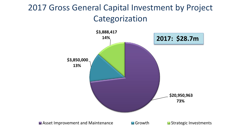## 2017 Gross General Capital Investment by Project Categorization

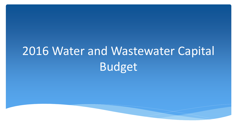# 2016 Water and Wastewater Capital Budget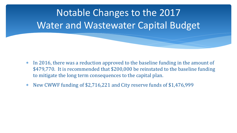

- In 2016, there was a reduction approved to the baseline funding in the amount of \$479,770. It is recommended that \$200,000 be reinstated to the baseline funding to mitigate the long term consequences to the capital plan.
- New CWWF funding of \$2,716,221 and City reserve funds of \$1,476,999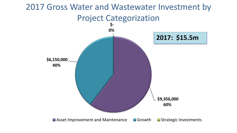